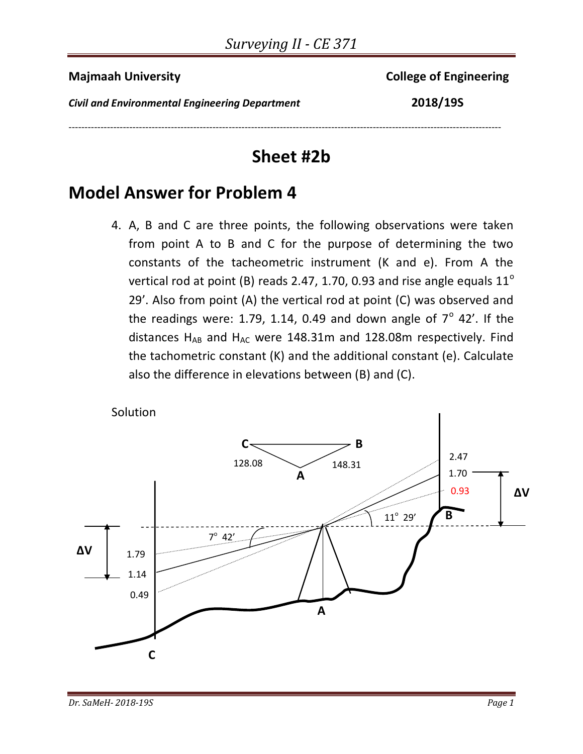**Majmaah University** College of Engineering

*Civil and Environmental Engineering Department* **2018/19S**

## **Sheet #2b**

---------------------------------------------------------------------------------------------------------------------------------------

## **Model Answer for Problem 4**

4. A, B and C are three points, the following observations were taken from point A to B and C for the purpose of determining the two constants of the tacheometric instrument (K and e). From A the vertical rod at point (B) reads 2.47, 1.70, 0.93 and rise angle equals  $11^{\circ}$ 29'. Also from point (A) the vertical rod at point (C) was observed and the readings were: 1.79, 1.14, 0.49 and down angle of  $7^\circ$  42'. If the distances  $H_{AB}$  and  $H_{AC}$  were 148.31m and 128.08m respectively. Find the tachometric constant (K) and the additional constant (e). Calculate also the difference in elevations between (B) and (C).

Solution

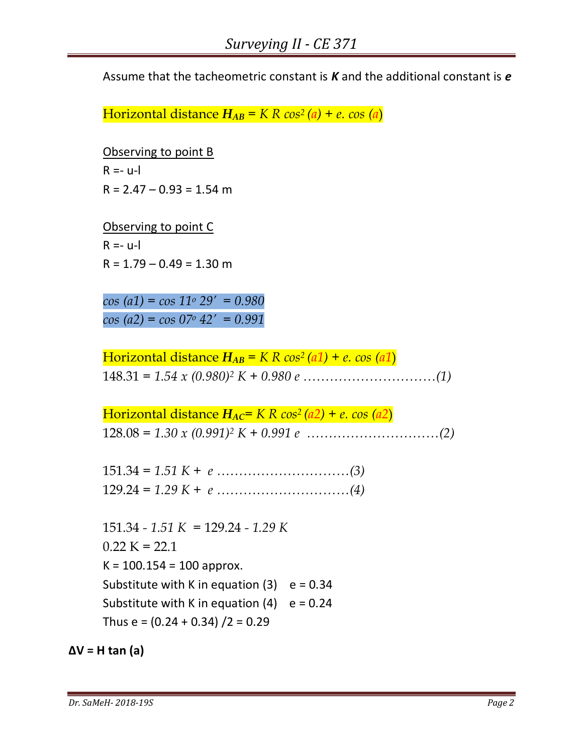Assume that the tacheometric constant is *K* and the additional constant is *e*

Horizontal distance  $H_{AB} = K R \cos^2(a) + e \cos(a)$ 

Observing to point B  $R = -1$  $R = 2.47 - 0.93 = 1.54$  m

Observing to point C  $R = -u$ -l  $R = 1.79 - 0.49 = 1.30$  m

*cos (a1) = cos 11<sup>o</sup> 29' = 0.980 cos (a2) = cos 07<sup>o</sup> 42' = 0.991*

Horizontal distance  $H_{AB} = K R \cos^2(a_1) + e \cos(a_1)$ 148.31 *= 1.54 x (0.980)<sup>2</sup> K + 0.980 e …………………………(1)*

Horizontal distance  $H_{AC} = K R \cos^2(a2) + e \cos(a2)$ 128.08 *= 1.30 x (0.991) <sup>2</sup> K + 0.991 e …………………………(2)*

151.34 *= 1.51 K + e …………………………(3)* 129.24 *= 1.29 K + e …………………………(4)*

151.34 *- 1.51 K =* 129.24 *- 1.29 K*  $0.22 K = 22.1$  $K = 100.154 = 100$  approx. Substitute with K in equation  $(3)$  e = 0.34 Substitute with K in equation  $(4)$  e = 0.24 Thus  $e = (0.24 + 0.34)/2 = 0.29$ 

**∆V = H tan (a)**